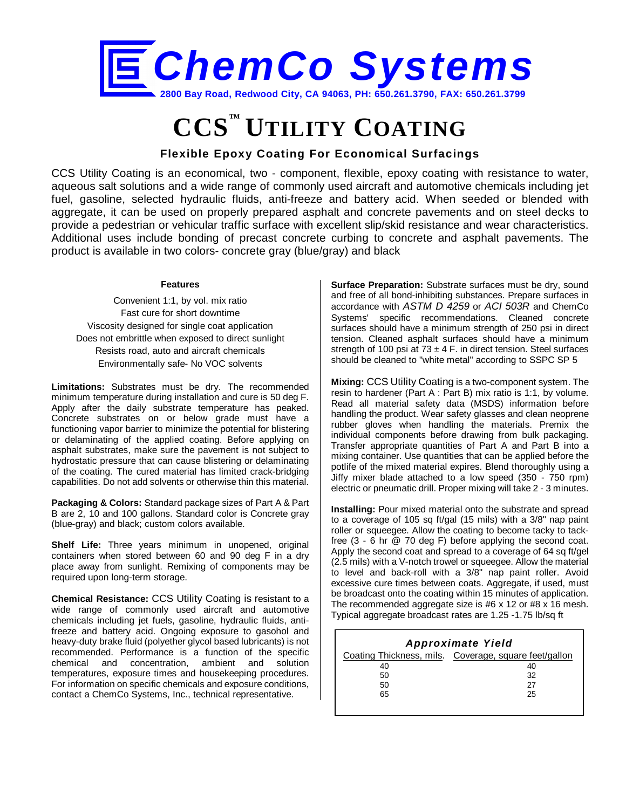

# **CCS™ UTILITY COATING**

## **Flexible Epoxy Coating For Economical Surfacings**

CCS Utility Coating is an economical, two - component, flexible, epoxy coating with resistance to water, aqueous salt solutions and a wide range of commonly used aircraft and automotive chemicals including jet fuel, gasoline, selected hydraulic fluids, anti-freeze and battery acid. When seeded or blended with aggregate, it can be used on properly prepared asphalt and concrete pavements and on steel decks to provide a pedestrian or vehicular traffic surface with excellent slip/skid resistance and wear characteristics. Additional uses include bonding of precast concrete curbing to concrete and asphalt pavements. The product is available in two colors- concrete gray (blue/gray) and black

#### **Features**

Convenient 1:1, by vol. mix ratio Fast cure for short downtime Viscosity designed for single coat application Does not embrittle when exposed to direct sunlight Resists road, auto and aircraft chemicals Environmentally safe- No VOC solvents

**Limitations:** Substrates must be dry. The recommended minimum temperature during installation and cure is 50 deg F. Apply after the daily substrate temperature has peaked. Concrete substrates on or below grade must have a functioning vapor barrier to minimize the potential for blistering or delaminating of the applied coating. Before applying on asphalt substrates, make sure the pavement is not subject to hydrostatic pressure that can cause blistering or delaminating of the coating. The cured material has limited crack-bridging capabilities. Do not add solvents or otherwise thin this material.

**Packaging & Colors:** Standard package sizes of Part A & Part B are 2, 10 and 100 gallons. Standard color is Concrete gray (blue-gray) and black; custom colors available.

**Shelf Life:** Three years minimum in unopened, original containers when stored between 60 and 90 deg F in a dry place away from sunlight. Remixing of components may be required upon long-term storage.

**Chemical Resistance:** CCS Utility Coating is resistant to a wide range of commonly used aircraft and automotive chemicals including jet fuels, gasoline, hydraulic fluids, antifreeze and battery acid. Ongoing exposure to gasohol and heavy-duty brake fluid (polyether glycol based lubricants) is not recommended. Performance is a function of the specific chemical and concentration, ambient and solution temperatures, exposure times and housekeeping procedures. For information on specific chemicals and exposure conditions, contact a ChemCo Systems, Inc., technical representative.

**Surface Preparation:** Substrate surfaces must be dry, sound and free of all bond-inhibiting substances. Prepare surfaces in accordance with *ASTM D 4259* or *ACI 503R* and ChemCo Systems' specific recommendations. Cleaned concrete surfaces should have a minimum strength of 250 psi in direct tension. Cleaned asphalt surfaces should have a minimum strength of 100 psi at 73  $\pm$  4 F. in direct tension. Steel surfaces should be cleaned to "white metal" according to SSPC SP 5

**Mixing:** CCS Utility Coating is a two-component system. The resin to hardener (Part A : Part B) mix ratio is 1:1, by volume. Read all material safety data (MSDS) information before handling the product. Wear safety glasses and clean neoprene rubber gloves when handling the materials. Premix the individual components before drawing from bulk packaging. Transfer appropriate quantities of Part A and Part B into a mixing container. Use quantities that can be applied before the potlife of the mixed material expires. Blend thoroughly using a Jiffy mixer blade attached to a low speed (350 - 750 rpm) electric or pneumatic drill. Proper mixing will take 2 - 3 minutes.

**Installing:** Pour mixed material onto the substrate and spread to a coverage of 105 sq ft/gal (15 mils) with a 3/8" nap paint roller or squeegee. Allow the coating to become tacky to tackfree (3 - 6 hr @ 70 deg F) before applying the second coat. Apply the second coat and spread to a coverage of 64 sq ft/gel (2.5 mils) with a V-notch trowel or squeegee. Allow the material to level and back-roll with a 3/8" nap paint roller. Avoid excessive cure times between coats. Aggregate, if used, must be broadcast onto the coating within 15 minutes of application. The recommended aggregate size is #6 x 12 or #8 x 16 mesh. Typical aggregate broadcast rates are 1.25 -1.75 lb/sq ft

| <b>Approximate Yield</b> |                                                       |  |  |  |
|--------------------------|-------------------------------------------------------|--|--|--|
|                          | Coating Thickness, mils. Coverage, square feet/gallon |  |  |  |
| 40                       |                                                       |  |  |  |
| 50                       | 32                                                    |  |  |  |
| 50                       | 27                                                    |  |  |  |
| 65                       | 25                                                    |  |  |  |
|                          |                                                       |  |  |  |